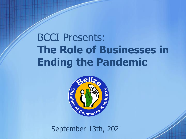# BCCI Presents: **The Role of Businesses in Ending the Pandemic**



September 13th, 2021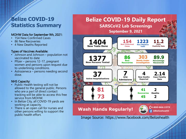### **Belize COVID-19 Statistics Summary**

#### MOHW Data for September 9th, 2021:

- 154 New Confirmed Cases
- 86 New Recoveries
- 4 New Deaths Reported

#### Types of Vaccines Available:

- Johnson and Johnson population not vaccinated to date
- Pfizer persons 12-17, pregnant women and persons upon request due to underlining conditions.
- Astrazeneca persons needing second dose.

### NHS Capacity:

- Public Health testing will not be allowed to the general public. Persons who are a part of direct contact tracking will be able to access this free service from MOHW.
- In Belize City, all COVID-19 yards are working at capacity.
- There is an open call for nurses and other persons willing to support the public health effort.



Image Source: https://www.facebook.com/Belizehealth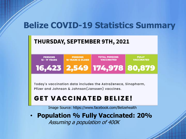## **Belize COVID-19 Statistics Summary**

## THURSDAY, SEPTEMBER 9TH, 2021



Today's vaccination data includes the AstraZeneca, Sinopharm, Pfizer and Johnson & Johnson (Janssen) vaccines.

## **GET VACCINATED BELIZE!**

Image Source: https://www.facebook.com/Belizehealth

• **Population % Fully Vaccinated: 20%** Assuming a population of 400K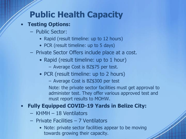# **Public Health Capacity**

## • **Testing Options:**

- Public Sector:
	- Rapid (result timeline: up to 12 hours)
	- PCR (result timeline: up to 5 days)
- Private Sector Offers include place at a cost.
	- Rapid (result timeline: up to 1 hour)
		- Average Cost is BZ\$75 per test.
	- PCR (result timeline: up to 2 hours)
		- Average Cost is BZ\$300 per test

Note: the private sector facilities must get approval to administer test. They offer various approved test and must report results to MOHW.

## • **Fully Equipped COVID-19 Yards in Belize City:**

- KHMH 18 Ventilators
- Private Facilities 7 Ventilators
	- Note: private sector facilities appear to be moving towards growing their capacity.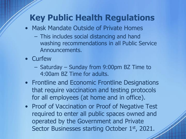# **Key Public Health Regulations**

- Mask Mandate Outside of Private Homes
	- This includes social distancing and hand washing recommendations in all Public Service Announcements.
- Curfew
	- Saturday Sunday from 9:00pm BZ Time to 4:00am BZ Time for adults.
- Frontline and Economic Frontline Designations that require vaccination and testing protocols for all employees (at home and in office).
- Proof of Vaccination or Proof of Negative Test required to enter all public spaces owned and operated by the Government and Private Sector Businesses starting October 1st, 2021.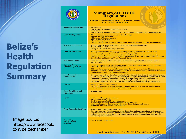# **Belize's Health Regulation Summary**

Image Source: https://www.facebook. com/belizechamber

|                                                      | <b>Summary of COVID<br/>Regulations</b><br>In force as of September 1st 2021 (S.I. 74 of 2021 as amended<br>by S.I 78, 80, 81, 86, 88, 92, 96)                                                                                                                                                                                                                                                                                                                                           |
|------------------------------------------------------|------------------------------------------------------------------------------------------------------------------------------------------------------------------------------------------------------------------------------------------------------------------------------------------------------------------------------------------------------------------------------------------------------------------------------------------------------------------------------------------|
| <b>National Curfew Hours</b>                         | · For all adults:<br>From Sunday to Saturday 9:00 PM to 4:00 AM<br>• For minors:<br>From Sunday to Saturday 6:00 PM to 4:00 AM unless accompanied by a parent or guardian.                                                                                                                                                                                                                                                                                                               |
| <b>Cross-Cutting Rules</b>                           | • All businesses are expected to enforce the following:<br>o Proper physical distancing<br>o Placement of distance markers;<br>o Proper wearing of masks;<br>o hand-washing stations.<br>Law enforcement/ health officers can enter any operating business to check for compliance.                                                                                                                                                                                                      |
| <b>Restaurants (General)</b>                         | • Restaurant employees are expected to be immunized against COVID-19<br>(S.I. No. 74 Rule 18(1)).<br>• Dining-in services allowed only up to 50%                                                                                                                                                                                                                                                                                                                                         |
| <b>Open Air Restaurants</b>                          | • Restaurants with proper ventilation or are open air may offer dining-in services but by reservation only and only up to 75% of its seating capacity;<br>• Belize District: Open-air restaurants in the Belize District, however, are limited to only<br>'outdoor dining" for no more than 50% of its seating capacity. This, however, does not include<br>Caye Caulker and San Pedro Town, Ambergis Caye.                                                                              |
| The sale of Liquor                                   | . No business, except for those holding a restaurant license, shall sell liquor after 6:00 PM<br>until 4:00 AM.                                                                                                                                                                                                                                                                                                                                                                          |
| <b>Business Process</b><br><b>Outsourcing (BPOs)</b> | BPOs are expected to have 100% of their in-office staff vaccinated, and can only utilize up to<br>50% of the establishment's physical capacity.<br>BPOs are also expected to provide a report at the first of every month detailing the names and<br>immunization status of every employee. Also, the names of every employee who have not been<br>vaccinated as a result of a recent covid infection.                                                                                   |
| Frontline workers'<br>classification                 | (i) Health care workers; (ii) officers and staff of the Belize Police, Coast Guard, BDF, Customs<br>and Excise Department, Immigration Department, Judiciary and Judiciary, Department of Civil<br>Aviation; (iii) teachers; (iv) tourism workers; Transport Department; (v) public transport<br>operators; (vi) public utility services; (vii) BPO employees; (viii) employees of security<br>companies; (ix) Belize Post Office; and any person that works or is employed at any port. |
| Casinos                                              | • All employees must be immunized.<br>• All patrons must be immunized and show proof of vaccination to enter the establishment.<br>• Mask wearing and social distancing protocols apply.                                                                                                                                                                                                                                                                                                 |
| Bars, Rum Shops and<br><b>Nightclubs</b>             | <b>Remain closed</b>                                                                                                                                                                                                                                                                                                                                                                                                                                                                     |
| Gyms                                                 | • Facility must be properly ventilated<br>• 50% capacity is permitted.<br>• Services must be offered by appointment only<br>• A log of every customer and their temperature must be kept.<br>• Mask wearing (only when entering), and social distancing protocols apply.<br>• Equipment must be sanitized after every use.                                                                                                                                                               |
| Spas, Salons, Barber Shops                           | • Services must be offered by appointment.<br>• Only two customers (with the proper social distancing) and one person in the waiting area<br>are permitted on the premises. If the facility cannot accommodate both persons, then only one<br>is permitted. This is unless the facility is large enough to accommodate more clients while<br>maintaining social distance.                                                                                                                |
| <b>Public/Private</b><br>Transportation<br>Provider  | • 75% of capacity is permitted.                                                                                                                                                                                                                                                                                                                                                                                                                                                          |
|                                                      | Email: bcci@belize.org / Tel: 223-5330 / WhatsApp: 614-3138                                                                                                                                                                                                                                                                                                                                                                                                                              |